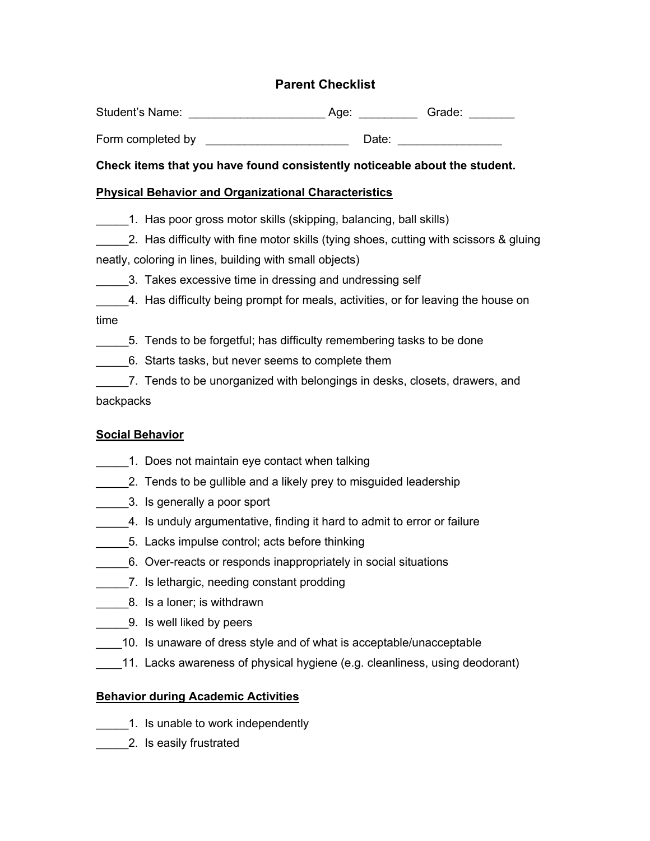# **Parent Checklist**

| Student's Name: | Aqe: | Grade: |
|-----------------|------|--------|
|                 |      |        |

Form completed by **Example 1** Date:

#### **Check items that you have found consistently noticeable about the student.**

#### **Physical Behavior and Organizational Characteristics**

- \_\_\_\_\_1. Has poor gross motor skills (skipping, balancing, ball skills)
- 2. Has difficulty with fine motor skills (tying shoes, cutting with scissors & gluing neatly, coloring in lines, building with small objects)
- 3. Takes excessive time in dressing and undressing self
- 4. Has difficulty being prompt for meals, activities, or for leaving the house on time
	- \_\_\_\_\_5. Tends to be forgetful; has difficulty remembering tasks to be done
- \_\_\_\_\_6. Starts tasks, but never seems to complete them
- \_\_\_\_\_7. Tends to be unorganized with belongings in desks, closets, drawers, and backpacks

# **Social Behavior**

- 1. Does not maintain eye contact when talking
- 2. Tends to be gullible and a likely prey to misguided leadership
- \_\_\_\_\_3. Is generally a poor sport
- 4. Is unduly argumentative, finding it hard to admit to error or failure
- \_\_\_\_\_5. Lacks impulse control; acts before thinking
- 6. Over-reacts or responds inappropriately in social situations
- \_\_\_\_\_7. Is lethargic, needing constant prodding
- 8. Is a loner; is withdrawn
- **12.** 9. Is well liked by peers
- 10. Is unaware of dress style and of what is acceptable/unacceptable
- \_\_\_\_11. Lacks awareness of physical hygiene (e.g. cleanliness, using deodorant)

# **Behavior during Academic Activities**

- 1. Is unable to work independently
- \_\_\_\_\_2. Is easily frustrated